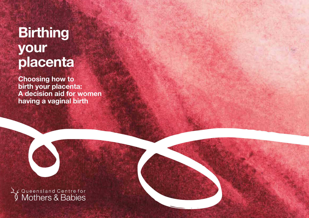# **Birthing** your placenta

Choosing how to birth your placenta: A decision aid for women having a vaginal birth

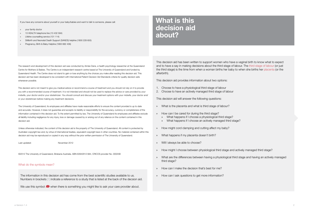If you have any concerns about yourself or your baby/babies and want to talk to someone, please call:

» your family doctor

» 13 HEALTH telephone line (13 432 584)

- » Lifeline counselling service (131 114)
- » Stillbirth and Neonatal Death Support (SANDS) helpline (1800 228 655)
- » Pregnancy, Birth & Baby Helpline (1800 882 436)

The research and development of this decision aid was conducted by Aimée Dane, a health psychology researcher at the Queensland Centre for Mothers & Babies. The Centre is an independent research centre based at The University of Queensland and funded by Queensland Health. The Centre does not stand to gain or lose anything by the choices you make after reading this decision aid. This decision aid has been developed to be consistent with International Patient Decision Aid Standards criteria for quality decision aids whereever possible.

This decision aid is not meant to give you medical advice or recommend a course of treatment and you should not rely on it to provide you with a recommended course of treatment. It is not intended and should not be used to replace the advice or care provided by your midwife, your doctor and/or your obstetrician. You should consult and discuss your treatment options with your midwife, your doctor and/ or your obstetrician before making any treatment decisions.

The University of Queensland, its employees and affiliates have made reasonable efforts to ensure the content provided is up to date and accurate. However, it does not guarantee and accepts no liability or responsibility for the accuracy, currency or completeness of the information contained in this decision aid. To the extent permitted by law, The University of Queensland its employees and affiliates exclude all liability including negligence for any injury, loss or damage caused by or arising out of any reliance on the content contained in this decision aid.

Unless otherwise indicated, the content of this decision aid is the property of The University of Queensland. All content is protected by Australian copyright law and, by virtue of international treaties, equivalent copyright laws in other countries. No material contained within this decision aid may be reproduced or copied in any way without the prior written permission of The University of Queensland.

Last updated: November 2012

©2012 The University of Queensland, Brisbane Australia. ABN 63942912 684, CRICOS provider No. 00025B

### What do the symbols mean?

The information in this decision aid has come from the best scientific studies available to us. Numbers in brackets [1] indicate a reference to a study that is listed at the back of the decsion aid.

We use this symbol when there is something you might like to ask your care provider about.

### What is this decision aid about?

This decision aid has been written to support women who have a vaginal birth to know what to expect and to have a say in making decisions about the third stage of labour. The third stage of labour (or just the third stage) is the time from when a woman births her baby to when she births her placenta (or the afterbirth).

This decision aid provides information about two options:

- 1. Choose to have a physiological third stage of labour
- 2. Choose to have an actively managed third stage of labour

This decision aid will answer the following questions:

- » What is the placenta and what is third stage of labour?
- » How can I be cared for during the third stage?
	- » What happens if I choose a physiological third stage?
	- » What happens if I choose an actively managed third stage?
- » How might cord clamping and cutting affect my baby?
- » What happens if my placenta doesn't birth?
- Will I always be able to choose?
- » How might I choose between physiological third stage and actively managed third stage?
- » What are the differences between having a physiological third stage and having an actively managed third stage?
- » How can I make the decision that's best for me?
- » How can I ask questions to get more information?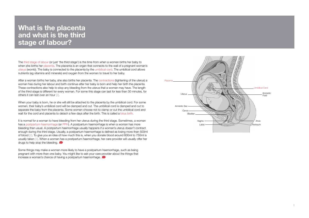### What is the placenta and what is the third stage of labour?

The third stage of labour (or just 'the third stage') is the time from when a woman births her baby to when she births her placenta. The placenta is an organ that connects to the wall of a pregnant woman's uterus (womb). The baby is connected to the placenta by the umbilical cord. The umbilical cord allows nutrients (eg vitamins and minerals) and oxygen from the woman to travel to her baby.

After a woman births her baby, she also births her placenta. The contractions (tightening of the uterus) a woman has during her labour and birth continue after her baby is born and help her birth the placenta. These contractions also help to stop any bleeding from the uterus that a woman may have. The length of the third stage is different for every woman. For some this stage can last for less than 30 minutes, for others it can last over an hour [2].

When your baby is born, he or she will still be attached to the placenta by the umbilical cord. For some women, their baby's umbilical cord will be clamped and cut. The umbilical cord is clamped and cut to separate the baby from the placenta. Some women choose not to clamp or cut the umbilical cord and wait for the cord and placenta to detach a few days after the birth. This is called a lotus birth.

It is normal for a woman to have bleeding from her uterus during the third stage. Sometimes, a woman has a postpartum haemorrhage (or PPH). A postpartum haemorrhage is when a woman has more bleeding than usual. A postpartum haemorrhage usually happens if a woman's uterus doesn't contract enough during the third stage. Usually, a postpartum haemorrhage is defined as losing more than 500ml of blood [2]. To give you an idea of how much this is, when you donate blood around 600ml to 750ml is usually taken [3]. When a woman has a postpartum haemorrhage, her care provider will usually offer her drugs to help stop the bleeding.

Some things may make a woman more likely to have a postpartum haemorrhage, such as being pregnant with more than one baby. You might like to ask your care provider about the things that increase a woman's chance of having a postpartum haemorrhage.

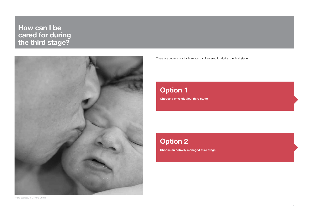How can I be cared for during the third stage?



There are two options for how you can be cared for during the third stage:

### Choose a physiological third stage Option 1

**Option 2** 

Choose an actively managed third stage

Photo courtesy of Deirdrie Cullen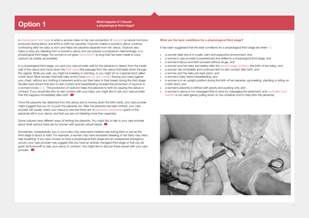#### **Option 1** What happens if I choose a physiological third stage?

A physiological third stage is when a woman relies on her own production of oxytocin (a natural hormone produced during labour and birth) to birth her placenta. Oxytocin makes a woman's uterus continue contracting after her baby is born and helps her placenta separate from her uterus. Oxytocin also helps to stop any bleeding from a woman's uterus and can prevent a postpartum haemorrhage. In a physiological third stage, the woman is not given Syntocinon® (a drug that has been made to copy oxytocin as closely as possible).

In a physiological third stage, you and your care provider wait for the placenta to detach from the inside wall of the uterus and move down the birth canal (the passage from the uterus that leads down through the vagina). While you wait, you might be kneeling or standing, or you might sit on a special stool called a birth stool. Most women hold their baby and/or have skin-to-skin contact (having your baby against your chest, without any clothing in between) and/or put their baby to their breast during the third stage. Studies have shown that skin-to-skin contact and breastfeeding increase the production of oxytocin in a woman's body [4-6]. The production of oxytocin helps the placenta to birth by causing the uterus to contract. If you would like skin-to-skin contact with your baby, you might like to ask your care provider that this happens immediately after birth.

Once the placenta has detached from the uterus and is moving down the birth canal, your care provider might suggest that you try to push the placenta out. After the placenta has been birthed, your care provider will usually check your uterus to see that there are no placental membranes (parts of the placenta) still in your uterus, and that you are not bleeding more than expected.

Some cultures have different ways of birthing the placenta. You might like to talk to your care provider about what options there are for women with special cultural needs.

Sometimes, unexpectedly, you or your baby may need extra medical care during birth or just as the third stage is about to start. For example, a woman may have excessive bleeding or her baby may need help breathing. If you have chosen to have a physiological third stage and an unexpected emergency occurs, your care provider may suggest that you have an actively managed third stage or that you be given Syntocinon® to help your uterus to contract. You might like to discuss these issues with your care provider.

#### What are the best conditions for a physiological third stage?

It has been suggested that the best conditions for a physiological third stage are when [1]:

- a woman feels she is in a safe, calm and supportive environment, and
- » a woman's care provider is experienced and skilled at a physiological third stage, and
- » a woman's labour and birth proceed without drugs, and
- » a woman and her baby are healthy after the second stage of labour (the birth of the baby), and
- a woman has immediate and continued skin-to-skin contact after birth, and
- a woman and her baby are kept warm, and
- a woman's baby starts breastfeeding, and
- » a woman is in an upright position during the birth of her placenta, eg kneeling, standing or sitting on a birth stool, and
- a woman's placenta is birthed with gravity and pushing only, and
- » a woman's uterus is not massaged (this is done by massaging the abdomen), and controlled cord traction is not used (gently pulling down on the umbilical cord to help birth the placenta).

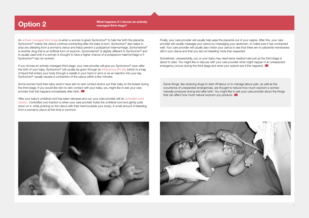Option 2 What happens if I choose an actively Maat happens if I choose an actively managed third stage?

An actively managed third stage is when a woman is given Syntocinon® to help her birth the placenta. Syntocinon® makes the uterus continue contracting after the baby is born. Syntocinon® also helps to stop any bleeding from a woman's uterus and helps prevent a postpartum haemorrhage. Syntometrine® is another drug that is an artificial form of oxytocin. Syntometrine® is slightly different to Syntocinon® and is usually used only if a woman is thought to have a higher chance of a postpartum haemorrhage or if Syntocinon® has not worked.

If you choose an actively managed third stage, your care provider will give you Syntocinon® soon after the birth of your baby. Syntocinon® will usually be given through an intravenous (IV) drip (which is a bag of liquid that enters your body through a needle in your hand or arm) or as an injection into your leg. Syntocinon<sup>®</sup> usually causes a contraction of the uterus within a few minutes.

Some women hold their baby and/or have skin-to-skin contact and/or put their baby to the breast during the third stage. If you would like skin-to-skin contact with your baby, you might like to ask your care provider that this happens immediately after birth.

After your baby's umbilical cord has been clamped and cut, your care provider will do controlled cord traction. Controlled cord traction is when your care provider holds the umbilical cord and gently pulls down on it, while pushing on the uterus with their hand (outside your body). A small amount of bleeding from a woman's uterus at this time is common.

Finally, your care provider will usually help ease the placenta out of your vagina. After this, your care provider will usually massage your uterus by massaging your abdomen, to make sure it has contracted well. Your care provider will usually also check your uterus to see that there are no placental membranes still in your uterus and that you are not bleeding more than expected.

Sometimes, unexpectedly, you or your baby may need extra medical care just as the third stage is about to start. You might like to discuss with your care provider what might happen if an unexpected emergency occurs during the third stage and what your options are if this happens.

Some things, like receiving drugs to start off labour or to manage labour pain, as well as the occurrence of unexpected emergencies, are thought to reduce how much oxytocin a woman naturally produces during and after birth. You might like to ask your care provider about the things that can affect how much natural oxytocin you produce.



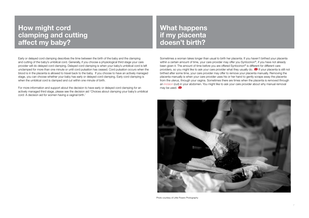### How might cord clamping and cutting affect my baby?

Early or delayed cord clamping describes the time between the birth of the baby and the clamping and cutting of the baby's umbilical cord. Generally, if you choose a physiological third stage your care provider will do delayed cord clamping. Delayed cord clamping is when your baby's umbilical cord is left unclamped for more than one minute or until cord pulsation has ceased. Cord pulsation occurs when the blood is in the placenta is allowed to travel back to the baby. If you choose to have an actively managed stage, you can choose whether your baby has early or delayed cord clamping. Early cord clamping is when the umbilical cord is clamped and cut within one minute of birth.

For more information and support about the decision to have early or delayed cord clamping for an actively managed third stage, please see the decision aid 'Choices about clamping your baby's umbilical cord: A decision aid for women having a vaginal birth.'

### What happens if my placenta doesn't birth?

Sometimes a woman takes longer than usual to birth her placenta. If you haven't birthed your placenta within a certain amount of time, your care provider may offer you Syntocinon®, if you have not already been given it. The amount of time before you are offered Syntocinon® is different for different care providers, so you might like to ask your care provider what they usually do.  $\bullet$  If your placenta is still not birthed after some time, your care provider may offer to remove your placenta manually. Removing the placenta manually is when your care provider uses his or her hand to gently scrape away the placenta from the uterus, through your vagina. Sometimes there are times when the placenta is removed through an incision (cut) in your abdomen. You might like to ask your care provider about why manual removal may be used.



Photo courtesy of Little Posers Photography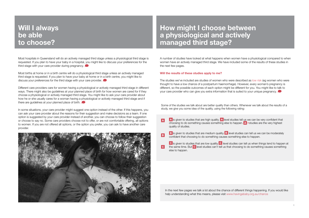### Will I always be able to choose?

Most hospitals in Queensland will do an actively managed third stage unless a physiological third stage is requested. If you plan to have your baby in a hospital, you might like to discuss your preferences for the third stage with your care provider during pregnancy.

Most births at home or in a birth centre will do a physiological third stage unless an actively managed third stage is requested. If you plan to have your baby at home or in a birth centre, you might like to discuss your preferences for the third stage with your care provider.

Different care providers care for women having a physiological or actively managed third stage in different ways. There might also be guidelines at your planned place of birth for how women are cared for if they choose a physiological or actively managed third stage. You might like to ask your care provider about how he or she usually cares for a woman having a physiological or actively managed third stage and if there are guidelines at your planned place of birth.

In some situations, your care provider might suggest one option instead of the other. If this happens, you can ask your care provider about the reasons for their suggestion and make decisions as a team. If one option is suggested by your care provider instead of another, you can choose to follow their suggestion or choose to say no. Some care providers choose not to offer, or are not comfortable offering, all options to women. If you are not offered all options, or the option you prefer, you can ask to have another care provider.



### How might I choose between a physiological and actively managed third stage?

A number of studies have looked at what happens when women have a physiological compared to when women have an actively managed third stage. We have included some of the results of these studies in the next few pages.

#### Will the results of these studies apply to me?

The studies we've included are studies of women who were described as low risk (eg women who were thought to have a low chance of a postpartum haemorrhage). However, every woman's pregnancy is different, so the possible outcomes of each option might be different for you. You might like to talk to your care provider who can give you extra information that is suited to your unique pregnancy.

Some of the studies we talk about are better quality than others. Whenever we talk about the results of a study, we give you some idea of the quality, using the following rating:

- A is given to studies that are high quality. A level studies tell us we can be very confident that  $\overline{A}$ choosing to do something causes something else to happen.  $\overline{A}$  + studies are the very highest quality of studies.
- $\overline{B}$  is given to studies that are medium quality.  $\overline{B}$  level studies can tell us we can be moderately  $\vert$ B confident that choosing to do something causes something else to happen.
	- **C** is given to studies that are low quality. C level studies can tell us when things tend to happen at the same time. But **C** level studies can't tell us that choosing to do something causes something else to happen.

In the next few pages we talk a lot about the chance of different things happening. If you would like help understanding what this means, please visit www.havingababy.org.au/chance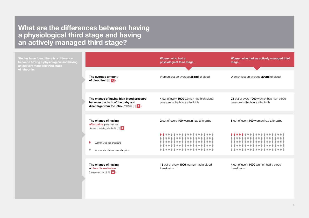What are the differences between having a physiological third stage and having an actively managed third stage?

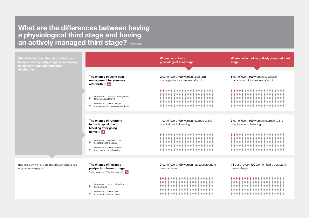What are the differences between having a physiological third stage and having an actively managed third stage? Continued...

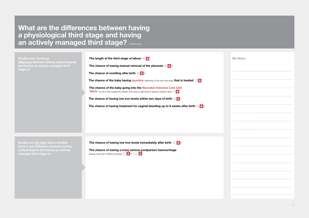### What are the differences between having a physiological third stage and having an actively managed third stage? Continued...

Studies have found no difference between having a physiological and having an actively managed third stage in:

| The length of the third stage of labour [9] A                                                                                                                        |  |  |
|----------------------------------------------------------------------------------------------------------------------------------------------------------------------|--|--|
| The chance of having manual removal of the placenta $\begin{bmatrix}3\end{bmatrix}$ A +                                                                              |  |  |
| The chance of vomiting after birth $[3]$ A +                                                                                                                         |  |  |
| The chance of the baby having jaundice (yellowing of the skin and eyes) that is treated [7] A                                                                        |  |  |
| The chance of the baby going into the Neonatal Intensive Care Unit<br>'NICU' (a unit in the hospital for babies who need a high level of special medical care) [7] A |  |  |
| The chance of having low iron levels within two days of birth $\otimes$ A                                                                                            |  |  |
| The chance of having treatment for vaginal bleeding up to 6 weeks after birth [3]                                                                                    |  |  |
|                                                                                                                                                                      |  |  |

Studies are not clear about whether a physiological and having an actively The chance of having low iron levels immediately after birth  $[3]$  A +

The chance of having a more serious postpartum haemorrhage (losing more than 1000ml of blood)  $\begin{bmatrix} 3 \end{bmatrix}$  **A** +  $\begin{bmatrix} 10 \end{bmatrix}$  **C** 

My Notes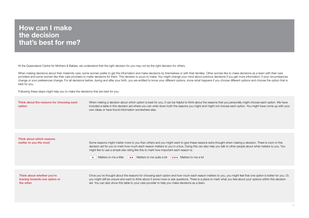### How can I make the decision that's best for me?

At the Queensland Centre for Mothers & Babies, we understand that the right decision for you may not be the right decision for others.

When making decisions about their maternity care, some women prefer to get the information and make decisions by themselves or with their families. Other women like to make decisions as a team with their care providers and some women like their care providers to make decisions for them. This decision is yours to make. You might change your mind about previous decisions if you get more information, if your circumstances change or your preferences change. For all decisions before, during and after your birth, you are entitled to know your different options, know what happens if you choose different options and choose the option that is best for you.

Following these steps might help you to make the decisions that are best for you:

#### Think about the reasons for choosing each option

When making a decision about which option is best for you, it can be helpful to think about the reasons that you personally might choose each option. We have included a table in this decision aid where you can write down both the reasons you might and might not choose each option. You might have come up with your own ideas or have found information somewhere else.

Think about which reasons matter to you the most

Some reasons might matter more to you than others and you might want to give these reasons extra thought when making a decision. There is room in this decision aid for you to mark how much each reason matters to you in a box. Doing this can also help you talk to other people about what matters to you. You might like to use a simple star rating like this to mark how important each reason is:



Matters to me a little  $\quad \star \star$  Matters to me quite a bit  $\star \star \star$  Matters to me a lot

Think about whether you're leaning towards one option or the other

Once you've thought about the reasons for choosing each option and how much each reason matters to you, you might feel that one option is better for you. Or, you might still be unsure and want to think about it some more or ask questions. There is a place to mark what you feel about your options within this decision aid. You can also show this table to your care provider to help you make decisions as a team.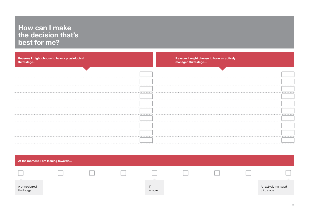### How can I make the decision that's best for me?

| Reasons I might choose to have a physiological<br>third stage | Reasons I might choose to have an actively<br>managed third stage |
|---------------------------------------------------------------|-------------------------------------------------------------------|
|                                                               |                                                                   |
|                                                               |                                                                   |
|                                                               |                                                                   |
|                                                               |                                                                   |
|                                                               |                                                                   |
|                                                               |                                                                   |
|                                                               |                                                                   |
|                                                               |                                                                   |
|                                                               |                                                                   |
|                                                               |                                                                   |
|                                                               |                                                                   |
|                                                               |                                                                   |
|                                                               |                                                                   |
|                                                               |                                                                   |

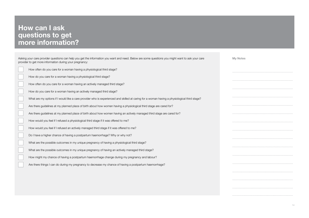# **How can I ask** questions to get more information?

| Asking your care provider questions can help you get the information you want and need. Below are some questions you might want to ask your care<br>provider to get more information during your pregnancy: | <b>My Notes</b> |
|-------------------------------------------------------------------------------------------------------------------------------------------------------------------------------------------------------------|-----------------|
| How often do you care for a woman having a physiological third stage?                                                                                                                                       |                 |
| How do you care for a woman having a physiological third stage?                                                                                                                                             |                 |
| How often do you care for a woman having an actively managed third stage?                                                                                                                                   |                 |
| How do you care for a woman having an actively managed third stage?                                                                                                                                         |                 |
| What are my options if I would like a care provider who is experienced and skilled at caring for a woman having a physiological third stage?                                                                |                 |
| Are there guidelines at my planned place of birth about how women having a physiological third stage are cared for?                                                                                         |                 |
| Are there guidelines at my planned place of birth about how women having an actively managed third stage are cared for?                                                                                     |                 |
| How would you feel if I refused a physiological third stage if it was offered to me?                                                                                                                        |                 |
| How would you feel if I refused an actively managed third stage if it was offered to me?                                                                                                                    |                 |
| Do I have a higher chance of having a postpartum haemorrhage? Why or why not?                                                                                                                               |                 |
| What are the possible outcomes in my unique pregnancy of having a physiological third stage?                                                                                                                |                 |
| What are the possible outcomes in my unique pregnancy of having an actively managed third stage?                                                                                                            |                 |
| How might my chance of having a postpartum haemorrhage change during my pregnancy and labour?                                                                                                               |                 |
| Are there things I can do during my pregnancy to decrease my chance of having a postpartum haemorrhage?                                                                                                     |                 |
|                                                                                                                                                                                                             |                 |
|                                                                                                                                                                                                             |                 |
|                                                                                                                                                                                                             |                 |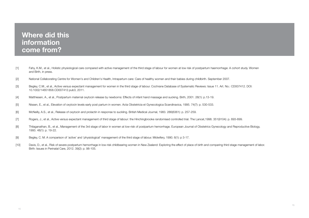### Where did this information come from?

- [1] Fahy, K.M., et al., Holistic physiological care compared with active management of the third stage of labour for women at low risk of postpartum haemorrhage: A cohort study. Women and Birth, in press.
- [2] National Collaborating Centre for Women's and Children's Health, Intrapartum care: Care of healthy women and their babies during childbirth. September 2007.
- [3] Begley, C.M., et al., Active versus expectant management for women in the third stage of labour. Cochrane Database of Systematic Reviews: Issue 11. Art. No.: CD007412. DOI: 10.1002/14651858.CD007412.pub3, 2011.
- [4] Matthiesen, A., et al., Postpartum maternal oxytocin release by newborns: Effects of infant hand massage and sucking. Birth, 2001. 28(1): p.13-19.
- [5] Nissen, E., et al., Elevation of oxytocin levels early post partum in women. Acta Obstetricia et Gynecologica Scandinavica, 1995. 74(7): p. 530-533.
- [6] McNeilly, A.S., et al., Release of oxytocin and prolactin in response to suckling. British Medical Journal, 1983. 286(6361): p. 257-259.
- [7] Rogers, J., et al., Active versus expectant management of third stage of labour: the Hinchingbrooke randomised controlled trial. The Lancet,1998. 351(9104): p. 693-699.
- [8] Thilaganathan, B., et al., Management of the 3rd stage of labor in women at low-risk of postpartum hemorrhage. European Journal of Obstetrics Gynecology and Reproductive Biology, 1993. 48(1): p. 19-22.
- [9] Begley, C. M. A comparison of 'active' and 'physiological' management of the third stage of labour. Midwifery, 1990. 6(1): p 3-17.
- [10] Davis, D., et al., Risk of severe postpartum hemorrhage in low-risk childbearing women in New Zealand: Exploring the effect of place of birth and comparing third stage management of labor. Birth: Issues in Perinatal Care, 2012. 39(2): p. 98-105.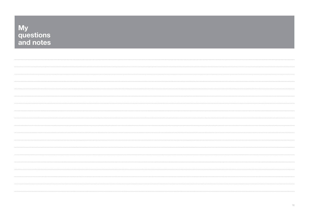| wy<br>questions<br>and notes |
|------------------------------|
|                              |
|                              |
|                              |
|                              |
|                              |
|                              |
|                              |
|                              |
|                              |
|                              |
|                              |
|                              |
|                              |
|                              |
|                              |
|                              |
|                              |
|                              |
|                              |

**MAY**